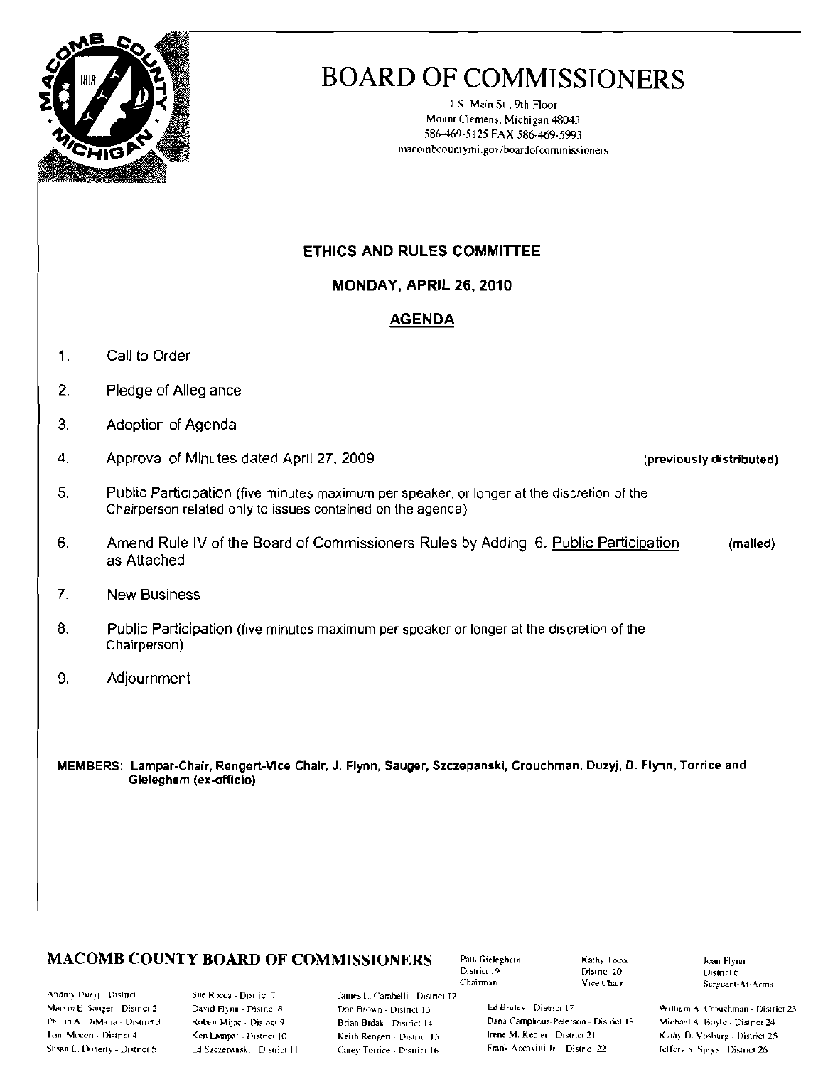

# **BOARD OF COMMISSIONERS**

1.S. Main St., 9th Floor Mount Clemens, Michigan 48043 586-469-5125 FAX 586-469-5993 macombcountymi.gov/boardofcommissioners

#### ETHICS AND RULES COMMITTEE

MONDAY, APRIL 26, 2010

#### **AGENDA**

- $1.$ Call to Order
- $2.$ Pledge of Allegiance
- $3.$ Adoption of Agenda
- $\overline{4}$ . Approval of Minutes dated April 27, 2009
- 5. Public Participation (five minutes maximum per speaker, or longer at the discretion of the Chairperson related only to issues contained on the agenda)
- 6. Amend Rule IV of the Board of Commissioners Rules by Adding 6. Public Participation (mailed) as Attached
- $7<sub>1</sub>$ **New Business**
- $8.$ Public Participation (five minutes maximum per speaker or longer at the discretion of the Chairperson)
- 9. Adjournment
- MEMBERS: Lampar-Chair, Rengert-Vice Chair, J. Flynn, Sauger, Szczepanski, Crouchman, Duzyj, D. Flynn, Torrice and Gieleghem (ex-officio)

### **MACOMB COUNTY BOARD OF COMMISSIONERS**

Andrey Duzyj - District I Marvin E. Sauger - District 2 Phillip A. DiMaria - District 3. Loni Mecen - District 4 Susan L. Doherty - District 5

Sue Rocca - District 7 David Flynn - District 8 Roben Mijac - Distoct 9 Ken Lampar - District [0] Ed Szczepański - District III

Janies L. Carabelli District 12 Don Brown - District 13 Brian Brdak - District 14 Keith Rengert - District 15 Carey Torrice - District 16

Paul Gieleghem District 19 Chairman

Kathy Toens District 20 Vice Chair

Ed Bruley District 17 Dana Camphous-Peterson - District 18 Irene M. Kepler - District 21 Frank Accavitti Jr District 22

Joan Flynn District 6 Sergeant-At-Arms

William A. Crouchman - District 23. Michael A. Boyle - District 24 Kathy D. Vosburg - District 25 Jeffery S. Sprys. District 26

(previously distributed)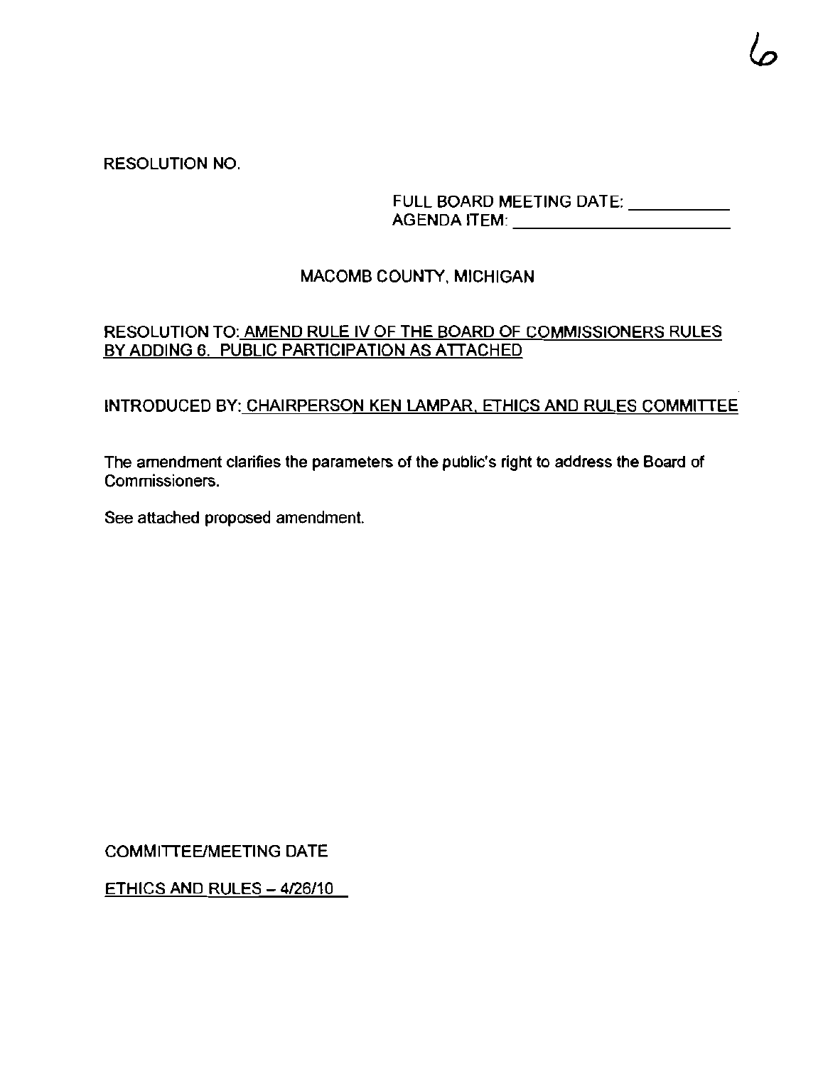## RESOLUTION NO.

FULL BOARD MEETING DATE: \_\_\_\_\_\_\_\_\_\_ AGENDA ITEM: \_

## MACOMB COUNTY, MICHIGAN

## RESOLUTION TO: AMEND RULE IV OF THE BOARD OF COMMISSIONERS RULES BY ADDING 6. PUBLIC PARTICIPATION AS ATTACHED

### INTRODUCED BY: CHAIRPERSON KEN LAMPAR. ETHICS AND RULES COMMITTEE

The amendment clarifies the parameters of the public's right to address the Board of **Commissioners.** 

See attached proposed amendment.

COMMITTEE/MEETING DATE

 $ETHICS AND RULES -  $4/26/10$$